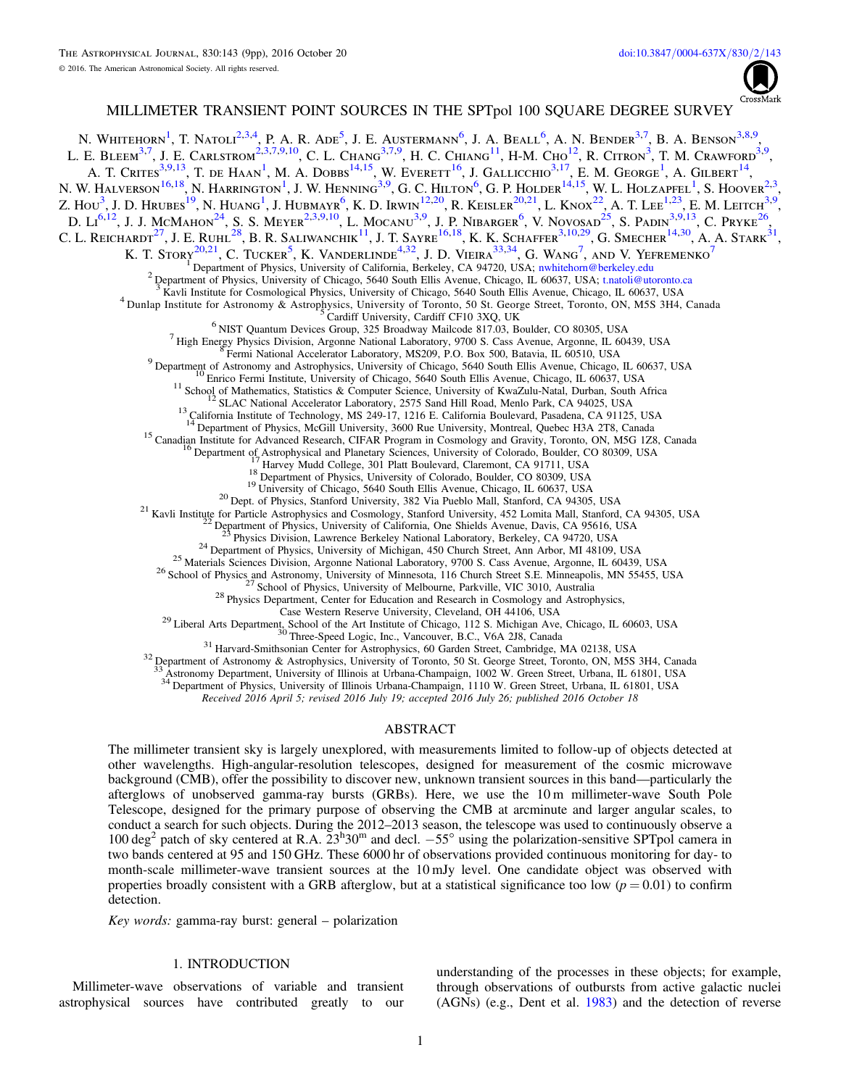

# MILLIMETER TRANSIENT POINT SOURCES IN THE SPTpol 100 SQUARE DEGREE SURVEY

<span id="page-0-11"></span><span id="page-0-10"></span><span id="page-0-9"></span><span id="page-0-8"></span><span id="page-0-7"></span><span id="page-0-6"></span><span id="page-0-5"></span><span id="page-0-4"></span><span id="page-0-3"></span><span id="page-0-2"></span><span id="page-0-1"></span><span id="page-0-0"></span>N. Whitehorn<sup>[1](#page-0-0)</sup>, T. Natoli<sup>[2,](#page-0-1)[3,](#page-0-2)[4](#page-0-3)</sup>, P. A. R. Ade<sup>[5](#page-0-4)</sup>, J. E. Austermann<sup>[6](#page-0-5)</sup>, J. A. Beall<sup>6</sup>, A. N. Bender<sup>3,[7](#page-0-6)</sup>, B. A. Benson<sup>3,[8,](#page-0-7)[9](#page-0-8)</sup> , L. E. Bleem<sup>[3,](#page-0-2)[7](#page-0-6)</sup>, J. E. Carlstrom<sup>[2,](#page-0-1)3,[7,](#page-0-6)[9,](#page-0-8)[10](#page-0-9)</sup>, C. L. Chang<sup>3,7,[9](#page-0-8)</sup>, H. C. Chiang<sup>[11](#page-0-10)</sup>, H-M. Cho<sup>[12](#page-0-11)</sup>, R. Citron<sup>[3](#page-0-2)</sup>, T. M. Crawford<sup>3,9</sup>. A. T. Crites<sup>[3,](#page-0-2)[9,](#page-0-8)[13](#page-0-12)</sup>, T. de Haan<sup>[1](#page-0-0)</sup>, M. A. Dobbs<sup>[14,](#page-0-13)[15](#page-0-14)</sup>, W. Everett<sup>[16](#page-0-15)</sup>, J. Gallicchio<sup>3,[17](#page-0-16)</sup>, E. M. George<sup>1</sup>, A. Gilbert<sup>[14](#page-0-13)</sup>, N. W. Halverson<sup>[16,](#page-0-15)[18](#page-0-17)</sup>, N. Harrington<sup>[1](#page-0-0)</sup>, J. W. Henning<sup>[3,](#page-0-2)[9](#page-0-8)</sup>, G. C. Hilton<sup>[6](#page-0-5)</sup>, G. P. Holder<sup>[14,](#page-0-13)[15](#page-0-14)</sup>, W. L. Holzapfel<sup>1</sup>, S. Hoover<sup>[2,](#page-0-1)[3](#page-0-2)</sup>, Z. Hou<sup>[3](#page-0-2)</sup>, J. D. Hrubes<sup>[19](#page-0-18)</sup>, N. Huang<sup>[1](#page-0-0)</sup>, J. Hubmayr<sup>[6](#page-0-5)</sup>, K. D. Irwin<sup>[12,](#page-0-11)[20](#page-0-19)</sup>, R. Keisler<sup>[20,](#page-0-19)[21](#page-0-20)</sup>, L. Knox<sup>[22](#page-0-21)</sup>, A. T. Lee<sup>[1,](#page-0-0)[23](#page-0-22)</sup>, E. M. Leitch<sup>[3,](#page-0-2)[9](#page-0-8)</sup>, D.  $\text{Li}^{6,12}$  $\text{Li}^{6,12}$  $\text{Li}^{6,12}$  $\text{Li}^{6,12}$ , J. J. McMahon<sup>[24](#page-0-23)</sup>, S. S. Meyer<sup>[2,](#page-0-1)[3,](#page-0-2)[9,](#page-0-8)[10](#page-0-9)</sup>, L. Mocanu<sup>3,[9](#page-0-8)</sup>, J. P. Nibarger<sup>[6](#page-0-5)</sup>, V. Novosad<sup>[25](#page-0-24)</sup>, S. Padin<sup>3,9,[13](#page-0-12)</sup>, C. Pryke<sup>[26](#page-0-25)</sup>, C. L. Reichardt<sup>[27](#page-0-26)</sup>, J. E. Ruhl<sup>[28](#page-0-27)</sup>, B. R. Saliwanchik<sup>[11](#page-0-10)</sup>, J. T. Sayre<sup>[16,](#page-0-15)[18](#page-0-17)</sup>, K. K. Schaffer<sup>[3,](#page-0-2)[10,](#page-0-9)[29](#page-0-28)</sup>, G. Smecher<sup>[14,](#page-0-13)[30](#page-0-29)</sup>, A. A. Stark<sup>[31](#page-0-30)</sup>, K. T. Story<sup>[20,](#page-0-19)[21](#page-0-20)</sup>, C. Tucker<sup>[5](#page-0-4)</sup>, K. Vanderlinde<sup>[4,](#page-0-3)[32](#page-0-31)</sup>, J. D. Vieira<sup>[33,](#page-0-32)[34](#page-0-33)</sup>, G. Wang<sup>[7](#page-0-6)</sup>, and V. Yefremenko<sup>7</sup> <sup>1</sup> Department of Physics, University of California, Berkeley, CA 94720, USA; nwhitehom @berkeley.edu<br>
<sup>2</sup> Department of Physics, University of Chicago, 5640 South Ellis Avenue, Chicago, IL 60637, USA; trancoli @utoronto.c <sup>15</sup> Canadian Institute for Advanced Research, CIFAR Program in Cosmology and Gravity, Toronto, ON, M5G 128, Canada<br><sup>16</sup> Department of Astrophysical and Planetary Sciences, University of Colorado, Boulder, CO 80309, USA<br><sup></sup> <sup>29</sup> Liberal Arts Department, School of the Art Institute of Chicago, 112 S. Michigan Ave, Chicago, IL 60603, USA<br><sup>30</sup> Three-Speed Logic, Inc., Vancouver, B.C., V6A 2J8, Canada<br><sup>31</sup> Harvard-Smithsonian Center for Astrophy

<span id="page-0-22"></span><span id="page-0-21"></span><span id="page-0-20"></span><span id="page-0-19"></span><span id="page-0-18"></span><span id="page-0-17"></span><span id="page-0-16"></span><span id="page-0-15"></span><span id="page-0-14"></span><span id="page-0-13"></span><span id="page-0-12"></span>

<span id="page-0-32"></span><span id="page-0-31"></span><span id="page-0-30"></span><span id="page-0-29"></span><span id="page-0-28"></span><span id="page-0-27"></span><span id="page-0-26"></span><span id="page-0-25"></span><span id="page-0-24"></span><span id="page-0-23"></span>

33 Astronomy Department, University of Illinois at Urbana-Champaign, 1002 W. Green Street, Urbana, IL 61801, USA

34 Department of Physics, University of Illinois Urbana-Champaign, 1110 W. Green Street, Urbana, IL 61801, USA

Received 2016 April 5; revised 2016 July 19; accepted 2016 July 26; published 2016 October 18

#### ABSTRACT

<span id="page-0-33"></span>The millimeter transient sky is largely unexplored, with measurements limited to follow-up of objects detected at other wavelengths. High-angular-resolution telescopes, designed for measurement of the cosmic microwave background (CMB), offer the possibility to discover new, unknown transient sources in this band—particularly the afterglows of unobserved gamma-ray bursts (GRBs). Here, we use the 10 m millimeter-wave South Pole Telescope, designed for the primary purpose of observing the CMB at arcminute and larger angular scales, to conduct a search for such objects. During the 2012–2013 season, the telescope was used to continuously observe a 100 deg<sup>2</sup> patch of sky centered at R.A.  $23^h30^m$  and decl.  $-55^\circ$  using the polarization-sensitive SPTpol camera in two bands centered at 95 and 150 GHz. These 6000 hr of observations provided continuous monitoring for day- to month-scale millimeter-wave transient sources at the 10 mJy level. One candidate object was observed with properties broadly consistent with a GRB afterglow, but at a statistical significance too low ( $p = 0.01$ ) to confirm detection.

Key words: gamma-ray burst: general – polarization

## 1. INTRODUCTION

Millimeter-wave observations of variable and transient astrophysical sources have contributed greatly to our

understanding of the processes in these objects; for example, through observations of outbursts from active galactic nuclei (AGNs) (e.g., Dent et al. [1983](#page-8-0)) and the detection of reverse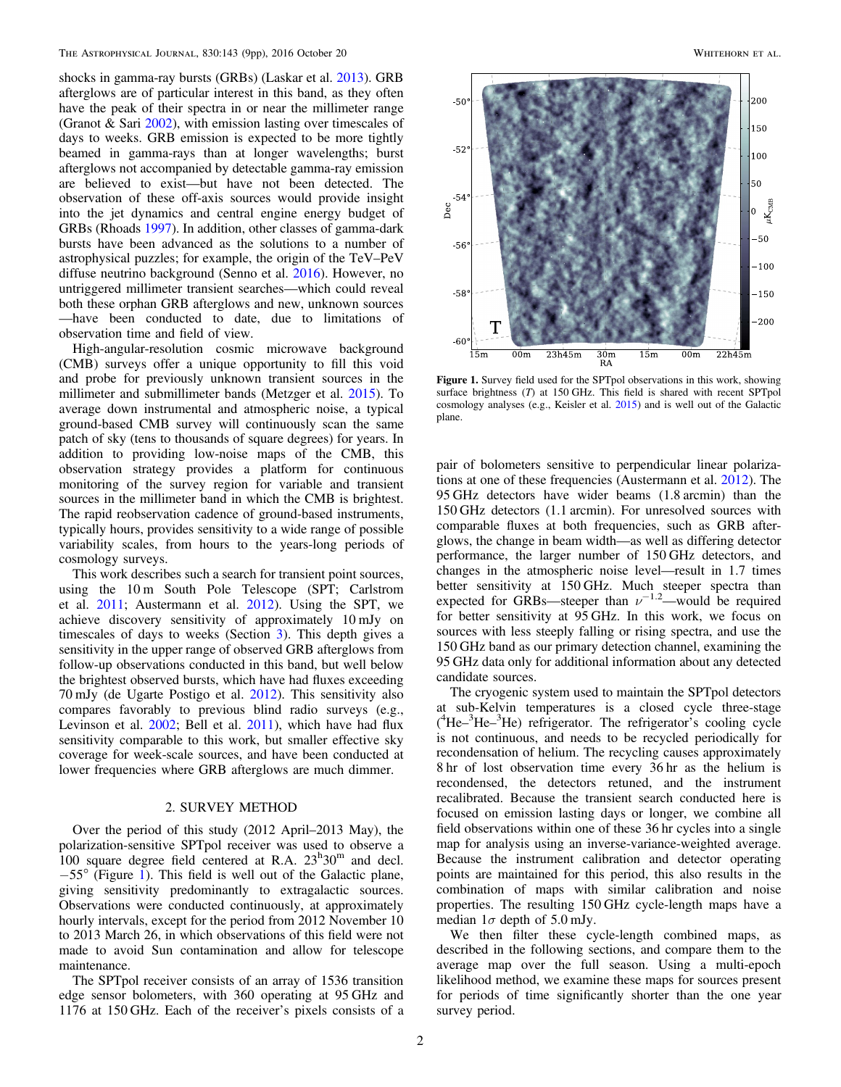shocks in gamma-ray bursts (GRBs) (Laskar et al. [2013](#page-8-1)). GRB afterglows are of particular interest in this band, as they often have the peak of their spectra in or near the millimeter range (Granot & Sari [2002](#page-8-2)), with emission lasting over timescales of days to weeks. GRB emission is expected to be more tightly beamed in gamma-rays than at longer wavelengths; burst afterglows not accompanied by detectable gamma-ray emission are believed to exist—but have not been detected. The observation of these off-axis sources would provide insight into the jet dynamics and central engine energy budget of GRBs (Rhoads [1997](#page-8-3)). In addition, other classes of gamma-dark bursts have been advanced as the solutions to a number of astrophysical puzzles; for example, the origin of the TeV–PeV diffuse neutrino background (Senno et al. [2016](#page-8-4)). However, no untriggered millimeter transient searches—which could reveal both these orphan GRB afterglows and new, unknown sources —have been conducted to date, due to limitations of observation time and field of view.

High-angular-resolution cosmic microwave background (CMB) surveys offer a unique opportunity to fill this void and probe for previously unknown transient sources in the millimeter and submillimeter bands (Metzger et al. [2015](#page-8-5)). To average down instrumental and atmospheric noise, a typical ground-based CMB survey will continuously scan the same patch of sky (tens to thousands of square degrees) for years. In addition to providing low-noise maps of the CMB, this observation strategy provides a platform for continuous monitoring of the survey region for variable and transient sources in the millimeter band in which the CMB is brightest. The rapid reobservation cadence of ground-based instruments, typically hours, provides sensitivity to a wide range of possible variability scales, from hours to the years-long periods of cosmology surveys.

This work describes such a search for transient point sources, using the 10 m South Pole Telescope (SPT; Carlstrom et al. [2011](#page-8-6); Austermann et al. [2012](#page-8-7)). Using the SPT, we achieve discovery sensitivity of approximately 10 mJy on timescales of days to weeks (Section [3](#page-3-0)). This depth gives a sensitivity in the upper range of observed GRB afterglows from follow-up observations conducted in this band, but well below the brightest observed bursts, which have had fluxes exceeding 70 mJy (de Ugarte Postigo et al. [2012](#page-8-8)). This sensitivity also compares favorably to previous blind radio surveys (e.g., Levinson et al. [2002](#page-8-9); Bell et al. [2011](#page-8-10)), which have had flux sensitivity comparable to this work, but smaller effective sky coverage for week-scale sources, and have been conducted at lower frequencies where GRB afterglows are much dimmer.

#### 2. SURVEY METHOD

<span id="page-1-1"></span>Over the period of this study (2012 April–2013 May), the polarization-sensitive SPTpol receiver was used to observe a 100 square degree field centered at R.A.  $23^{\text{h}}30^{\text{m}}$  and decl. −55° (Figure [1](#page-1-0)). This field is well out of the Galactic plane, giving sensitivity predominantly to extragalactic sources. Observations were conducted continuously, at approximately hourly intervals, except for the period from 2012 November 10 to 2013 March 26, in which observations of this field were not made to avoid Sun contamination and allow for telescope maintenance.

The SPTpol receiver consists of an array of 1536 transition edge sensor bolometers, with 360 operating at 95 GHz and 1176 at 150 GHz. Each of the receiver's pixels consists of a

<span id="page-1-0"></span>

Figure 1. Survey field used for the SPTpol observations in this work, showing surface brightness (T) at 150 GHz. This field is shared with recent SPTpol cosmology analyses (e.g., Keisler et al. [2015](#page-8-11)) and is well out of the Galactic plane.

pair of bolometers sensitive to perpendicular linear polarizations at one of these frequencies (Austermann et al. [2012](#page-8-7)). The 95 GHz detectors have wider beams (1.8 arcmin) than the 150 GHz detectors (1.1 arcmin). For unresolved sources with comparable fluxes at both frequencies, such as GRB afterglows, the change in beam width—as well as differing detector performance, the larger number of 150 GHz detectors, and changes in the atmospheric noise level—result in 1.7 times better sensitivity at 150 GHz. Much steeper spectra than expected for GRBs—steeper than  $\nu^{-1.2}$ —would be required for better sensitivity at 95 GHz. In this work, we focus on sources with less steeply falling or rising spectra, and use the 150 GHz band as our primary detection channel, examining the 95 GHz data only for additional information about any detected candidate sources.

The cryogenic system used to maintain the SPTpol detectors at sub-Kelvin temperatures is a closed cycle three-stage ( 4 He–<sup>3</sup> He–<sup>3</sup> He) refrigerator. The refrigerator's cooling cycle is not continuous, and needs to be recycled periodically for recondensation of helium. The recycling causes approximately 8 hr of lost observation time every 36 hr as the helium is recondensed, the detectors retuned, and the instrument recalibrated. Because the transient search conducted here is focused on emission lasting days or longer, we combine all field observations within one of these 36 hr cycles into a single map for analysis using an inverse-variance-weighted average. Because the instrument calibration and detector operating points are maintained for this period, this also results in the combination of maps with similar calibration and noise properties. The resulting 150 GHz cycle-length maps have a median  $1\sigma$  depth of 5.0 mJy.

We then filter these cycle-length combined maps, as described in the following sections, and compare them to the average map over the full season. Using a multi-epoch likelihood method, we examine these maps for sources present for periods of time significantly shorter than the one year survey period.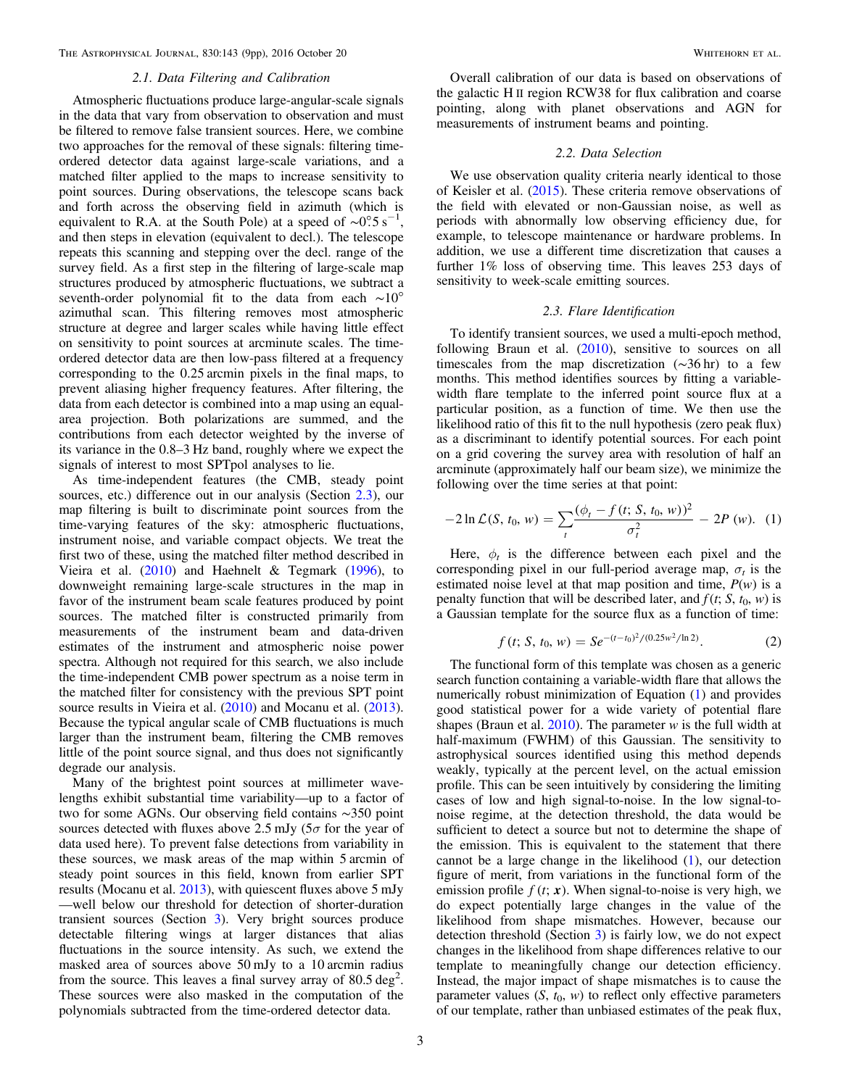The Astrophysical Journal, 830:143 (9pp), 2016 October 20 Whitehorn et al.

#### 2.1. Data Filtering and Calibration

Atmospheric fluctuations produce large-angular-scale signals in the data that vary from observation to observation and must be filtered to remove false transient sources. Here, we combine two approaches for the removal of these signals: filtering timeordered detector data against large-scale variations, and a matched filter applied to the maps to increase sensitivity to point sources. During observations, the telescope scans back and forth across the observing field in azimuth (which is equivalent to R.A. at the South Pole) at a speed of  $\sim 0.5$  s<sup>-1</sup>, and then steps in elevation (equivalent to decl.). The telescope repeats this scanning and stepping over the decl. range of the survey field. As a first step in the filtering of large-scale map structures produced by atmospheric fluctuations, we subtract a seventh-order polynomial fit to the data from each ~10° azimuthal scan. This filtering removes most atmospheric structure at degree and larger scales while having little effect on sensitivity to point sources at arcminute scales. The timeordered detector data are then low-pass filtered at a frequency corresponding to the 0.25 arcmin pixels in the final maps, to prevent aliasing higher frequency features. After filtering, the data from each detector is combined into a map using an equalarea projection. Both polarizations are summed, and the contributions from each detector weighted by the inverse of its variance in the 0.8–3 Hz band, roughly where we expect the signals of interest to most SPTpol analyses to lie.

As time-independent features (the CMB, steady point sources, etc.) difference out in our analysis (Section [2.3](#page-2-0)), our map filtering is built to discriminate point sources from the time-varying features of the sky: atmospheric fluctuations, instrument noise, and variable compact objects. We treat the first two of these, using the matched filter method described in Vieira et al. ([2010](#page-8-12)) and Haehnelt & Tegmark ([1996](#page-8-13)), to downweight remaining large-scale structures in the map in favor of the instrument beam scale features produced by point sources. The matched filter is constructed primarily from measurements of the instrument beam and data-driven estimates of the instrument and atmospheric noise power spectra. Although not required for this search, we also include the time-independent CMB power spectrum as a noise term in the matched filter for consistency with the previous SPT point source results in Vieira et al. ([2010](#page-8-12)) and Mocanu et al. ([2013](#page-8-14)). Because the typical angular scale of CMB fluctuations is much larger than the instrument beam, filtering the CMB removes little of the point source signal, and thus does not significantly degrade our analysis.

Many of the brightest point sources at millimeter wavelengths exhibit substantial time variability—up to a factor of two for some AGNs. Our observing field contains ∼350 point sources detected with fluxes above 2.5 mJy ( $5\sigma$  for the year of data used here). To prevent false detections from variability in these sources, we mask areas of the map within 5 arcmin of steady point sources in this field, known from earlier SPT results (Mocanu et al. [2013](#page-8-14)), with quiescent fluxes above 5 mJy —well below our threshold for detection of shorter-duration transient sources (Section [3](#page-3-0)). Very bright sources produce detectable filtering wings at larger distances that alias fluctuations in the source intensity. As such, we extend the masked area of sources above 50 mJy to a 10 arcmin radius from the source. This leaves a final survey array of  $80.5 \text{ deg}^2$ . These sources were also masked in the computation of the polynomials subtracted from the time-ordered detector data.

Overall calibration of our data is based on observations of the galactic H II region RCW38 for flux calibration and coarse pointing, along with planet observations and AGN for measurements of instrument beams and pointing.

## 2.2. Data Selection

We use observation quality criteria nearly identical to those of Keisler et al. ([2015](#page-8-11)). These criteria remove observations of the field with elevated or non-Gaussian noise, as well as periods with abnormally low observing efficiency due, for example, to telescope maintenance or hardware problems. In addition, we use a different time discretization that causes a further 1% loss of observing time. This leaves 253 days of sensitivity to week-scale emitting sources.

## 2.3. Flare Identification

<span id="page-2-0"></span>To identify transient sources, we used a multi-epoch method, following Braun et al.  $(2010)$  $(2010)$  $(2010)$ , sensitive to sources on all timescales from the map discretization (∼36 hr) to a few months. This method identifies sources by fitting a variablewidth flare template to the inferred point source flux at a particular position, as a function of time. We then use the likelihood ratio of this fit to the null hypothesis (zero peak flux) as a discriminant to identify potential sources. For each point on a grid covering the survey area with resolution of half an arcminute (approximately half our beam size), we minimize the following over the time series at that point:

<span id="page-2-1"></span>
$$
-2\ln\mathcal{L}(S, t_0, w) = \sum_{t} \frac{(\phi_t - f(t; S, t_0, w))^2}{\sigma_t^2} - 2P(w). \tag{1}
$$

<span id="page-2-2"></span>Here,  $\phi_t$  is the difference between each pixel and the corresponding pixel in our full-period average map,  $\sigma_t$  is the estimated noise level at that map position and time,  $P(w)$  is a penalty function that will be described later, and  $f(t; S, t_0, w)$  is a Gaussian template for the source flux as a function of time:

$$
f(t; S, t_0, w) = S e^{-(t-t_0)^2/(0.25w^2/\ln 2)}.
$$
 (2)

The functional form of this template was chosen as a generic search function containing a variable-width flare that allows the numerically robust minimization of Equation ([1](#page-2-1)) and provides good statistical power for a wide variety of potential flare shapes (Braun et al.  $2010$ ). The parameter w is the full width at half-maximum (FWHM) of this Gaussian. The sensitivity to astrophysical sources identified using this method depends weakly, typically at the percent level, on the actual emission profile. This can be seen intuitively by considering the limiting cases of low and high signal-to-noise. In the low signal-tonoise regime, at the detection threshold, the data would be sufficient to detect a source but not to determine the shape of the emission. This is equivalent to the statement that there cannot be a large change in the likelihood ([1](#page-2-1)), our detection figure of merit, from variations in the functional form of the emission profile  $f(t; x)$ . When signal-to-noise is very high, we do expect potentially large changes in the value of the likelihood from shape mismatches. However, because our detection threshold (Section [3](#page-3-0)) is fairly low, we do not expect changes in the likelihood from shape differences relative to our template to meaningfully change our detection efficiency. Instead, the major impact of shape mismatches is to cause the parameter values  $(S, t_0, w)$  to reflect only effective parameters of our template, rather than unbiased estimates of the peak flux,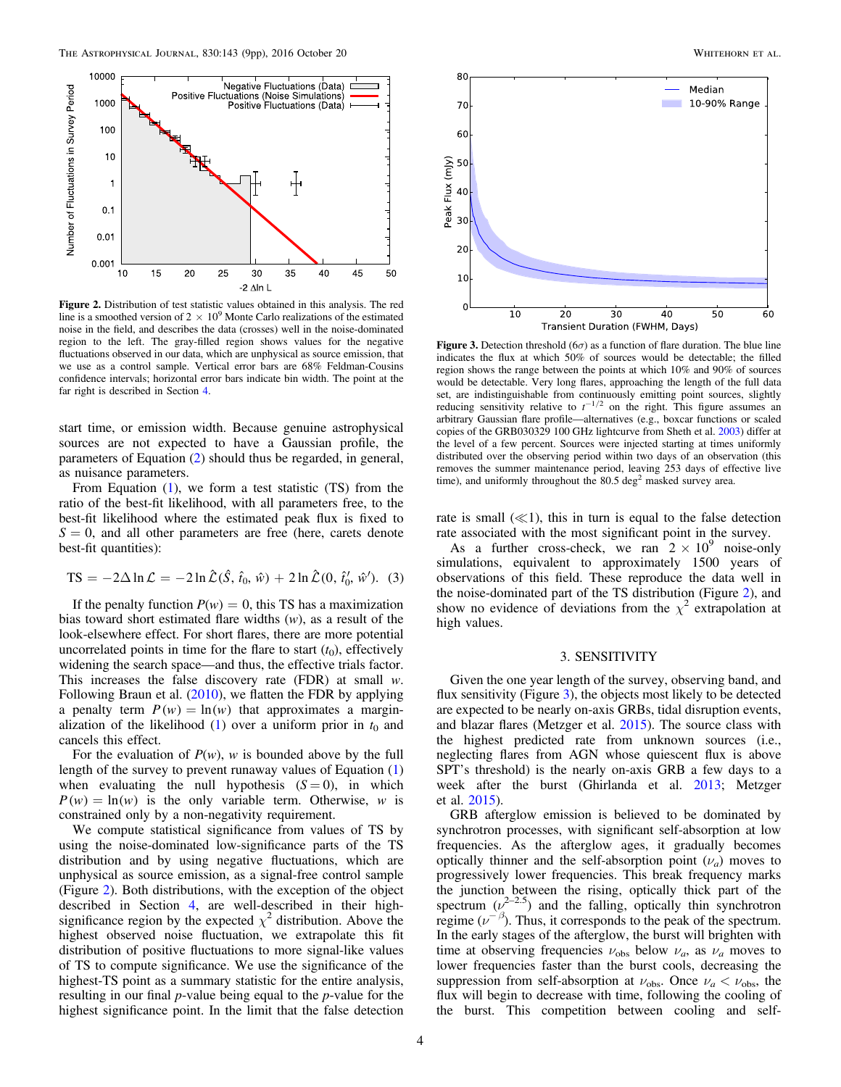<span id="page-3-1"></span>

**Figure 2.** Distribution of test statistic values obtained in this analysis. The red line is a smoothed version of  $2 \times 10^9$  Monte Carlo realizations of the estimated noise in the field, and describes the data (crosses) well in the noise-dominated region to the left. The gray-filled region shows values for the negative fluctuations observed in our data, which are unphysical as source emission, that we use as a control sample. Vertical error bars are 68% Feldman-Cousins confidence intervals; horizontal error bars indicate bin width. The point at the far right is described in Section [4.](#page-4-0)

start time, or emission width. Because genuine astrophysical sources are not expected to have a Gaussian profile, the parameters of Equation ([2](#page-2-2)) should thus be regarded, in general, as nuisance parameters.

From Equation ([1](#page-2-1)), we form a test statistic (TS) from the ratio of the best-fit likelihood, with all parameters free, to the best-fit likelihood where the estimated peak flux is fixed to  $S = 0$ , and all other parameters are free (here, carets denote best-fit quantities):

<span id="page-3-3"></span>
$$
TS = -2\Delta \ln \mathcal{L} = -2\ln \hat{\mathcal{L}}(\hat{S}, \hat{t}_0, \hat{w}) + 2\ln \hat{\mathcal{L}}(0, \hat{t}'_0, \hat{w}').
$$
 (3)

If the penalty function  $P(w) = 0$ , this TS has a maximization bias toward short estimated flare widths  $(w)$ , as a result of the look-elsewhere effect. For short flares, there are more potential uncorrelated points in time for the flare to start  $(t_0)$ , effectively widening the search space—and thus, the effective trials factor. This increases the false discovery rate  $(FDR)$  at small w. Following Braun et al. ([2010](#page-8-15)), we flatten the FDR by applying a penalty term  $P(w) = \ln(w)$  that approximates a marginalization of the likelihood  $(1)$  $(1)$  $(1)$  over a uniform prior in  $t_0$  and cancels this effect.

For the evaluation of  $P(w)$ , w is bounded above by the full length of the survey to prevent runaway values of Equation ([1](#page-2-1)) when evaluating the null hypothesis  $(S = 0)$ , in which  $P(w) = \ln(w)$  is the only variable term. Otherwise, w is constrained only by a non-negativity requirement.

We compute statistical significance from values of TS by using the noise-dominated low-significance parts of the TS distribution and by using negative fluctuations, which are unphysical as source emission, as a signal-free control sample (Figure [2](#page-3-1)). Both distributions, with the exception of the object described in Section [4,](#page-4-0) are well-described in their highsignificance region by the expected  $\chi^2$  distribution. Above the highest observed noise fluctuation, we extrapolate this fit distribution of positive fluctuations to more signal-like values of TS to compute significance. We use the significance of the highest-TS point as a summary statistic for the entire analysis, resulting in our final p-value being equal to the p-value for the highest significance point. In the limit that the false detection

<span id="page-3-2"></span>

**Figure 3.** Detection threshold (6 $\sigma$ ) as a function of flare duration. The blue line indicates the flux at which 50% of sources would be detectable; the filled region shows the range between the points at which 10% and 90% of sources would be detectable. Very long flares, approaching the length of the full data set, are indistinguishable from continuously emitting point sources, slightly reducing sensitivity relative to  $t^{-1/2}$  on the right. This figure assumes an arbitrary Gaussian flare profile—alternatives (e.g., boxcar functions or scaled copies of the GRB030329 100 GHz lightcurve from Sheth et al. [2003](#page-8-17)) differ at the level of a few percent. Sources were injected starting at times uniformly distributed over the observing period within two days of an observation (this removes the summer maintenance period, leaving 253 days of effective live time), and uniformly throughout the  $80.5 \text{ deg}^2$  masked survey area.

rate is small  $(\ll 1)$ , this in turn is equal to the false detection rate associated with the most significant point in the survey.

As a further cross-check, we ran  $2 \times 10^9$  noise-only simulations, equivalent to approximately 1500 years of observations of this field. These reproduce the data well in the noise-dominated part of the TS distribution (Figure [2](#page-3-1)), and show no evidence of deviations from the  $\chi^2$  extrapolation at high values.

# 3. SENSITIVITY

<span id="page-3-0"></span>Given the one year length of the survey, observing band, and flux sensitivity (Figure [3](#page-3-2)), the objects most likely to be detected are expected to be nearly on-axis GRBs, tidal disruption events, and blazar flares (Metzger et al. [2015](#page-8-5)). The source class with the highest predicted rate from unknown sources (i.e., neglecting flares from AGN whose quiescent flux is above SPT's threshold) is the nearly on-axis GRB a few days to a week after the burst (Ghirlanda et al. [2013](#page-8-16); Metzger et al. [2015](#page-8-5)).

GRB afterglow emission is believed to be dominated by synchrotron processes, with significant self-absorption at low frequencies. As the afterglow ages, it gradually becomes optically thinner and the self-absorption point  $(\nu_a)$  moves to progressively lower frequencies. This break frequency marks the junction between the rising, optically thick part of the spectrum  $(\nu^{2-2.5})$  and the falling, optically thin synchrotron regime ( $\nu^{-\beta}$ ). Thus, it corresponds to the peak of the spectrum. In the early stages of the afterglow, the burst will brighten with time at observing frequencies  $\nu_{obs}$  below  $\nu_a$ , as  $\nu_a$  moves to lower frequencies faster than the burst cools, decreasing the suppression from self-absorption at  $\nu_{obs}$ . Once  $\nu_a < \nu_{obs}$ , the flux will begin to decrease with time, following the cooling of the burst. This competition between cooling and self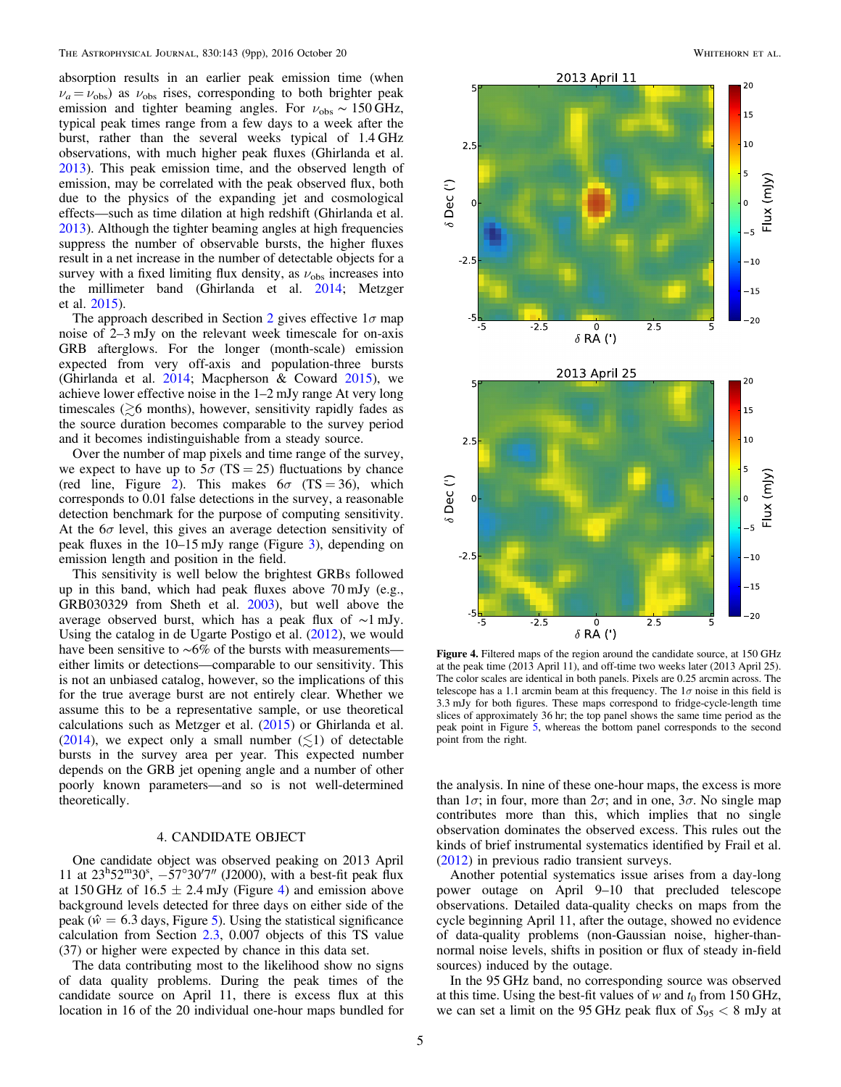absorption results in an earlier peak emission time (when  $\nu_a = \nu_{\rm obs}$ ) as  $\nu_{\rm obs}$  rises, corresponding to both brighter peak emission and tighter beaming angles. For  $v_{obs} \sim 150$  GHz, typical peak times range from a few days to a week after the burst, rather than the several weeks typical of 1.4 GHz observations, with much higher peak fluxes (Ghirlanda et al. [2013](#page-8-16)). This peak emission time, and the observed length of emission, may be correlated with the peak observed flux, both due to the physics of the expanding jet and cosmological effects—such as time dilation at high redshift (Ghirlanda et al. [2013](#page-8-16)). Although the tighter beaming angles at high frequencies suppress the number of observable bursts, the higher fluxes result in a net increase in the number of detectable objects for a survey with a fixed limiting flux density, as  $\nu_{\rm obs}$  increases into the millimeter band (Ghirlanda et al. [2014](#page-8-18); Metzger et al. [2015](#page-8-5)).

The approach described in Section [2](#page-1-1) gives effective  $1\sigma$  map noise of 2–3 mJy on the relevant week timescale for on-axis GRB afterglows. For the longer (month-scale) emission expected from very off-axis and population-three bursts (Ghirlanda et al.  $2014$ ; Macpherson & Coward  $2015$ ), we achieve lower effective noise in the 1–2 mJy range At very long timescales ( $\geq 6$  months), however, sensitivity rapidly fades as the source duration becomes comparable to the survey period and it becomes indistinguishable from a steady source.

Over the number of map pixels and time range of the survey, we expect to have up to  $5\sigma$  (TS = 25) fluctuations by chance (red line, Figure [2](#page-3-1)). This makes  $6\sigma$  (TS = 36), which corresponds to 0.01 false detections in the survey, a reasonable detection benchmark for the purpose of computing sensitivity. At the  $6\sigma$  level, this gives an average detection sensitivity of peak fluxes in the 10–15 mJy range (Figure [3](#page-3-2)), depending on emission length and position in the field.

This sensitivity is well below the brightest GRBs followed up in this band, which had peak fluxes above 70 mJy (e.g., GRB030329 from Sheth et al. [2003](#page-8-17)), but well above the average observed burst, which has a peak flux of ∼1 mJy. Using the catalog in de Ugarte Postigo et al. ([2012](#page-8-8)), we would have been sensitive to ∼6% of the bursts with measurements either limits or detections—comparable to our sensitivity. This is not an unbiased catalog, however, so the implications of this for the true average burst are not entirely clear. Whether we assume this to be a representative sample, or use theoretical calculations such as Metzger et al. ([2015](#page-8-5)) or Ghirlanda et al. ([2014](#page-8-18)), we expect only a small number  $(\leq 1)$  of detectable bursts in the survey area per year. This expected number depends on the GRB jet opening angle and a number of other poorly known parameters—and so is not well-determined theoretically.

## 4. CANDIDATE OBJECT

<span id="page-4-0"></span>One candidate object was observed peaking on 2013 April 11 at  $23^{\rm h}52^{\rm m}30^{\rm s}$ ,  $-57^{\circ}30'7''$  (J2000), with a best-fit peak flux at 150 GHz of  $16.5 \pm 2.4$  $16.5 \pm 2.4$  mJy (Figure 4) and emission above background levels detected for three days on either side of the peak ( $\hat{w} = 6.3$  days, Figure [5](#page-5-0)). Using the statistical significance calculation from Section [2.3](#page-2-0), 0.007 objects of this TS value (37) or higher were expected by chance in this data set.

The data contributing most to the likelihood show no signs of data quality problems. During the peak times of the candidate source on April 11, there is excess flux at this location in 16 of the 20 individual one-hour maps bundled for

<span id="page-4-1"></span>

Figure 4. Filtered maps of the region around the candidate source, at 150 GHz at the peak time (2013 April 11), and off-time two weeks later (2013 April 25). The color scales are identical in both panels. Pixels are 0.25 arcmin across. The telescope has a 1.1 arcmin beam at this frequency. The  $1\sigma$  noise in this field is 3.3 mJy for both figures. These maps correspond to fridge-cycle-length time slices of approximately 36 hr; the top panel shows the same time period as the peak point in Figure [5,](#page-5-0) whereas the bottom panel corresponds to the second point from the right.

the analysis. In nine of these one-hour maps, the excess is more than  $1\sigma$ ; in four, more than  $2\sigma$ ; and in one,  $3\sigma$ . No single map contributes more than this, which implies that no single observation dominates the observed excess. This rules out the kinds of brief instrumental systematics identified by Frail et al. ([2012](#page-8-20)) in previous radio transient surveys.

Another potential systematics issue arises from a day-long power outage on April 9–10 that precluded telescope observations. Detailed data-quality checks on maps from the cycle beginning April 11, after the outage, showed no evidence of data-quality problems (non-Gaussian noise, higher-thannormal noise levels, shifts in position or flux of steady in-field sources) induced by the outage.

In the 95 GHz band, no corresponding source was observed at this time. Using the best-fit values of w and  $t_0$  from 150 GHz, we can set a limit on the 95 GHz peak flux of  $S_{95} < 8$  mJy at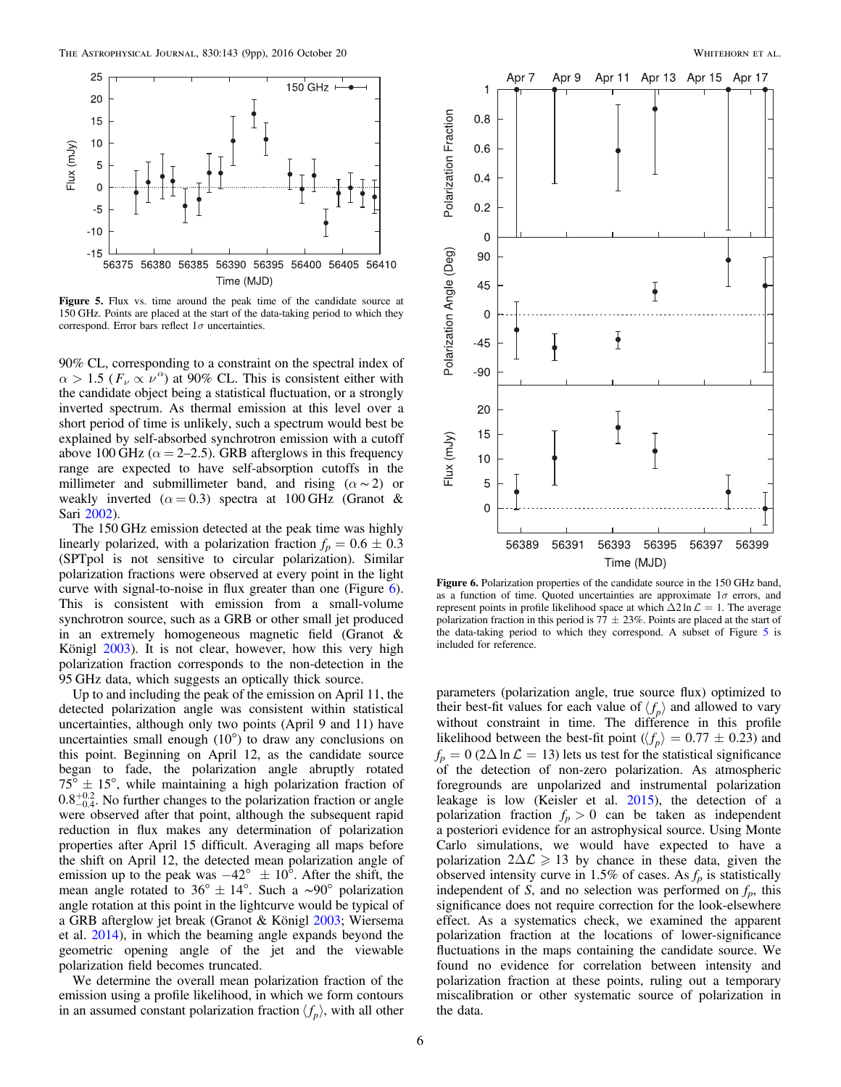<span id="page-5-0"></span>

Figure 5. Flux vs. time around the peak time of the candidate source at 150 GHz. Points are placed at the start of the data-taking period to which they correspond. Error bars reflect  $1\sigma$  uncertainties.

90% CL, corresponding to a constraint on the spectral index of  $\alpha > 1.5$  ( $F_\nu \propto \nu^{\alpha}$ ) at 90% CL. This is consistent either with the candidate object being a statistical fluctuation, or a strongly inverted spectrum. As thermal emission at this level over a short period of time is unlikely, such a spectrum would best be explained by self-absorbed synchrotron emission with a cutoff above 100 GHz ( $\alpha$  = 2–2.5). GRB afterglows in this frequency range are expected to have self-absorption cutoffs in the millimeter and submillimeter band, and rising  $(\alpha \sim 2)$  or weakly inverted ( $\alpha = 0.3$ ) spectra at 100 GHz (Granot & Sari [2002](#page-8-2)).

The 150 GHz emission detected at the peak time was highly linearly polarized, with a polarization fraction  $f_p = 0.6 \pm 0.3$ (SPTpol is not sensitive to circular polarization). Similar polarization fractions were observed at every point in the light curve with signal-to-noise in flux greater than one (Figure [6](#page-5-1)). This is consistent with emission from a small-volume synchrotron source, such as a GRB or other small jet produced in an extremely homogeneous magnetic field (Granot & Königl [2003](#page-8-21)). It is not clear, however, how this very high polarization fraction corresponds to the non-detection in the 95 GHz data, which suggests an optically thick source.

Up to and including the peak of the emission on April 11, the detected polarization angle was consistent within statistical uncertainties, although only two points (April 9 and 11) have uncertainties small enough (10°) to draw any conclusions on this point. Beginning on April 12, as the candidate source began to fade, the polarization angle abruptly rotated  $75^{\circ} \pm 15^{\circ}$ , while maintaining a high polarization fraction of  $0.8^{+0.2}_{-0.4}$ . No further changes to the polarization fraction or angle were observed after that point, although the subsequent rapid reduction in flux makes any determination of polarization properties after April 15 difficult. Averaging all maps before the shift on April 12, the detected mean polarization angle of emission up to the peak was  $-42^{\circ} \pm 10^{\circ}$ . After the shift, the mean angle rotated to 36°  $\pm$  14°. Such a ~90° polarization angle rotation at this point in the lightcurve would be typical of a GRB afterglow jet break (Granot & Königl [2003](#page-8-21); Wiersema et al. [2014](#page-8-22)), in which the beaming angle expands beyond the geometric opening angle of the jet and the viewable polarization field becomes truncated.

We determine the overall mean polarization fraction of the emission using a profile likelihood, in which we form contours in an assumed constant polarization fraction  $\langle f_p \rangle$ , with all other

<span id="page-5-1"></span>

Figure 6. Polarization properties of the candidate source in the 150 GHz band, as a function of time. Quoted uncertainties are approximate  $1\sigma$  errors, and represent points in profile likelihood space at which  $\Delta 2 \ln \mathcal{L} = 1$ . The average polarization fraction in this period is 77  $\pm$  23%. Points are placed at the start of the data-taking period to which they correspond. A subset of Figure [5](#page-5-0) is included for reference.

parameters (polarization angle, true source flux) optimized to their best-fit values for each value of  $\langle f_p \rangle$  and allowed to vary without constraint in time. The difference in this profile likelihood between the best-fit point ( $\langle f_p \rangle = 0.77 \pm 0.23$ ) and  $f_p = 0$  (2 $\Delta \ln \mathcal{L} = 13$ ) lets us test for the statistical significance of the detection of non-zero polarization. As atmospheric foregrounds are unpolarized and instrumental polarization leakage is low (Keisler et al. [2015](#page-8-11)), the detection of a polarization fraction  $f_p > 0$  can be taken as independent a posteriori evidence for an astrophysical source. Using Monte Carlo simulations, we would have expected to have a polarization  $2\Delta\mathcal{L} \geq 13$  by chance in these data, given the observed intensity curve in 1.5% of cases. As  $f_p$  is statistically independent of S, and no selection was performed on  $f_p$ , this significance does not require correction for the look-elsewhere effect. As a systematics check, we examined the apparent polarization fraction at the locations of lower-significance fluctuations in the maps containing the candidate source. We found no evidence for correlation between intensity and polarization fraction at these points, ruling out a temporary miscalibration or other systematic source of polarization in the data.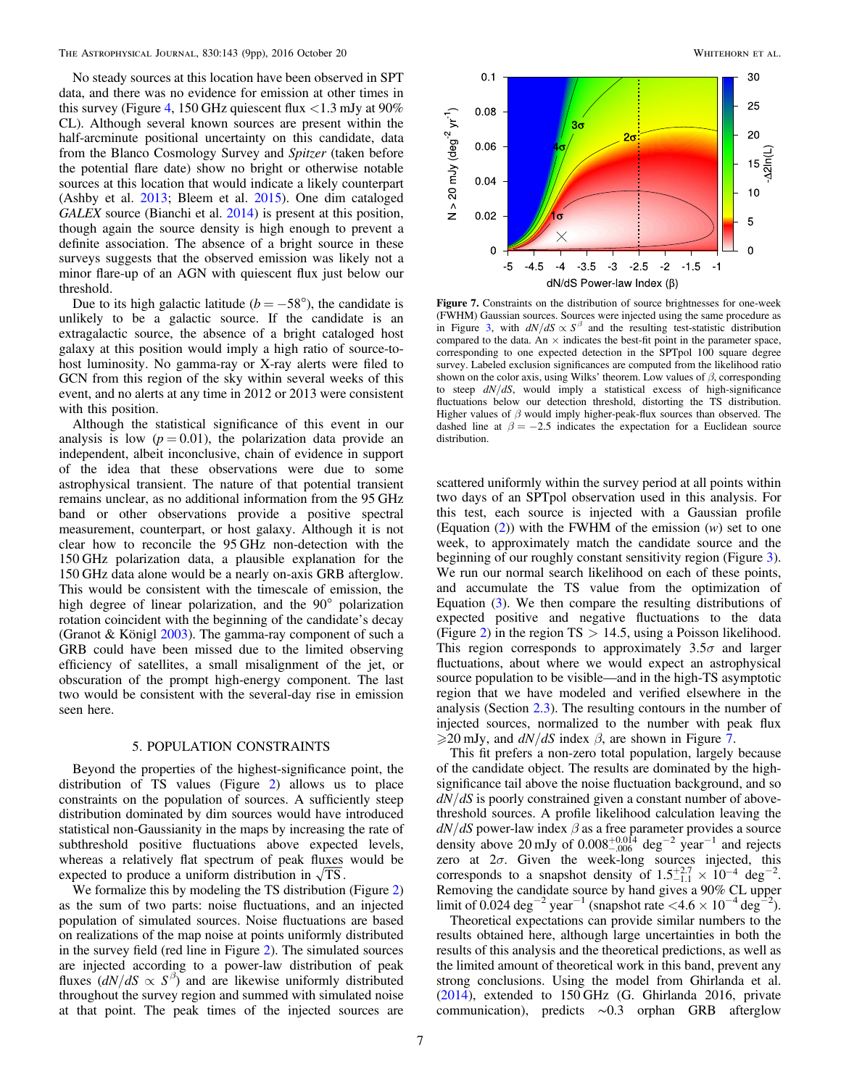No steady sources at this location have been observed in SPT data, and there was no evidence for emission at other times in this survey (Figure [4,](#page-4-1) 150 GHz quiescent flux  $\langle 1.3 \text{ mJy} \rangle$  at 90% CL). Although several known sources are present within the half-arcminute positional uncertainty on this candidate, data from the Blanco Cosmology Survey and Spitzer (taken before the potential flare date) show no bright or otherwise notable sources at this location that would indicate a likely counterpart (Ashby et al. [2013](#page-8-23); Bleem et al. [2015](#page-8-24)). One dim cataloged GALEX source (Bianchi et al. [2014](#page-8-25)) is present at this position, though again the source density is high enough to prevent a definite association. The absence of a bright source in these surveys suggests that the observed emission was likely not a minor flare-up of an AGN with quiescent flux just below our threshold.

Due to its high galactic latitude ( $b = -58^{\circ}$ ), the candidate is unlikely to be a galactic source. If the candidate is an extragalactic source, the absence of a bright cataloged host galaxy at this position would imply a high ratio of source-tohost luminosity. No gamma-ray or X-ray alerts were filed to GCN from this region of the sky within several weeks of this event, and no alerts at any time in 2012 or 2013 were consistent with this position.

Although the statistical significance of this event in our analysis is low  $(p = 0.01)$ , the polarization data provide an independent, albeit inconclusive, chain of evidence in support of the idea that these observations were due to some astrophysical transient. The nature of that potential transient remains unclear, as no additional information from the 95 GHz band or other observations provide a positive spectral measurement, counterpart, or host galaxy. Although it is not clear how to reconcile the 95 GHz non-detection with the 150 GHz polarization data, a plausible explanation for the 150 GHz data alone would be a nearly on-axis GRB afterglow. This would be consistent with the timescale of emission, the high degree of linear polarization, and the 90° polarization rotation coincident with the beginning of the candidate's decay (Granot & Königl [2003](#page-8-21)). The gamma-ray component of such a GRB could have been missed due to the limited observing efficiency of satellites, a small misalignment of the jet, or obscuration of the prompt high-energy component. The last two would be consistent with the several-day rise in emission seen here.

## 5. POPULATION CONSTRAINTS

Beyond the properties of the highest-significance point, the distribution of TS values (Figure [2](#page-3-1)) allows us to place constraints on the population of sources. A sufficiently steep distribution dominated by dim sources would have introduced statistical non-Gaussianity in the maps by increasing the rate of subthreshold positive fluctuations above expected levels, whereas a relatively flat spectrum of peak fluxes would be expected to produce a uniform distribution in  $\sqrt{TS}$ .

We formalize this by modeling the TS distribution (Figure [2](#page-3-1)) as the sum of two parts: noise fluctuations, and an injected population of simulated sources. Noise fluctuations are based on realizations of the map noise at points uniformly distributed in the survey field (red line in Figure [2](#page-3-1)). The simulated sources are injected according to a power-law distribution of peak fluxes  $\left(\frac{dN}{dS} \propto S^{\beta}\right)$  and are likewise uniformly distributed throughout the survey region and summed with simulated noise at that point. The peak times of the injected sources are

<span id="page-6-0"></span>

Figure 7. Constraints on the distribution of source brightnesses for one-week (FWHM) Gaussian sources. Sources were injected using the same procedure as in Figure [3,](#page-3-2) with  $dN/dS \propto S^{\beta}$  and the resulting test-statistic distribution compared to the data. An  $\times$  indicates the best-fit point in the parameter space, corresponding to one expected detection in the SPTpol 100 square degree survey. Labeled exclusion significances are computed from the likelihood ratio shown on the color axis, using Wilks' theorem. Low values of  $\beta$ , corresponding to steep  $dN/dS$ , would imply a statistical excess of high-significance fluctuations below our detection threshold, distorting the TS distribution. Higher values of  $\beta$  would imply higher-peak-flux sources than observed. The dashed line at  $\beta = -2.5$  indicates the expectation for a Euclidean source distribution.

scattered uniformly within the survey period at all points within two days of an SPTpol observation used in this analysis. For this test, each source is injected with a Gaussian profile (Equation  $(2)$  $(2)$  $(2)$ ) with the FWHM of the emission  $(w)$  set to one week, to approximately match the candidate source and the beginning of our roughly constant sensitivity region (Figure [3](#page-3-2)). We run our normal search likelihood on each of these points, and accumulate the TS value from the optimization of Equation ([3](#page-3-3)). We then compare the resulting distributions of expected positive and negative fluctuations to the data (Figure [2](#page-3-1)) in the region  $TS > 14.5$ , using a Poisson likelihood. This region corresponds to approximately  $3.5\sigma$  and larger fluctuations, about where we would expect an astrophysical source population to be visible—and in the high-TS asymptotic region that we have modeled and verified elsewhere in the analysis (Section [2.3](#page-2-0)). The resulting contours in the number of injected sources, normalized to the number with peak flux  $\geq$ 20 mJy, and  $dN/dS$  index  $\beta$ , are shown in Figure [7.](#page-6-0)

This fit prefers a non-zero total population, largely because of the candidate object. The results are dominated by the highsignificance tail above the noise fluctuation background, and so  $dN/dS$  is poorly constrained given a constant number of abovethreshold sources. A profile likelihood calculation leaving the  $dN/dS$  power-law index  $\beta$  as a free parameter provides a source density above 20 mJy of  $0.008^{+0.014}_{-0.006}$  deg<sup>-2</sup> year<sup>-1</sup> and rejects zero at  $2\sigma$ . Given the week-long sources injected, this corresponds to a snapshot density of  $1.5^{+2.7}_{-1.1} \times 10^{-4}$  deg<sup>-2</sup>. Removing the candidate source by hand gives a 90% CL upper limit of 0.024 deg<sup>-2</sup> year<sup>-1</sup> (snapshot rate <4.6 × 10<sup>-4</sup> deg<sup>-1</sup> ).

Theoretical expectations can provide similar numbers to the results obtained here, although large uncertainties in both the results of this analysis and the theoretical predictions, as well as the limited amount of theoretical work in this band, prevent any strong conclusions. Using the model from Ghirlanda et al. ([2014](#page-8-18)), extended to 150 GHz (G. Ghirlanda 2016, private communication), predicts ∼0.3 orphan GRB afterglow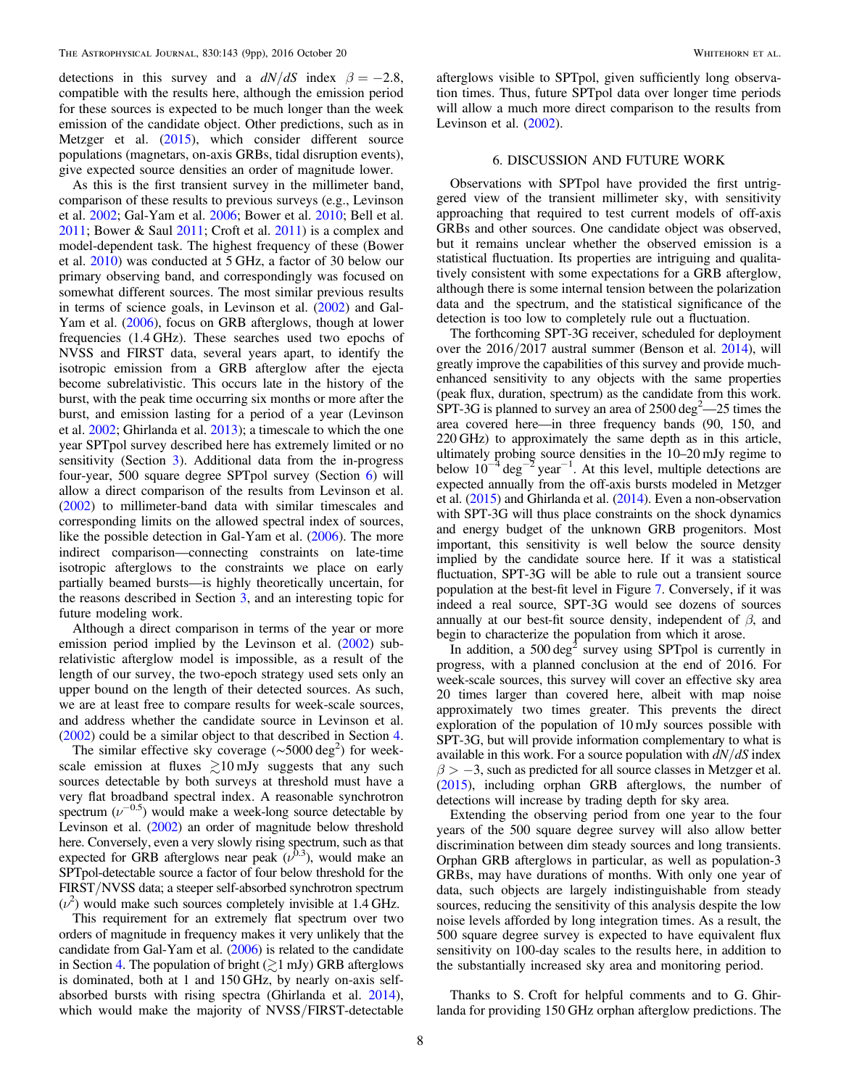detections in this survey and a  $dN/dS$  index  $\beta = -2.8$ , compatible with the results here, although the emission period for these sources is expected to be much longer than the week emission of the candidate object. Other predictions, such as in Metzger et al. ([2015](#page-8-5)), which consider different source populations (magnetars, on-axis GRBs, tidal disruption events), give expected source densities an order of magnitude lower.

As this is the first transient survey in the millimeter band, comparison of these results to previous surveys (e.g., Levinson et al. [2002](#page-8-9); Gal-Yam et al. [2006;](#page-8-26) Bower et al. [2010;](#page-8-27) Bell et al. [2011;](#page-8-10) Bower & Saul [2011;](#page-8-28) Croft et al. [2011](#page-8-29)) is a complex and model-dependent task. The highest frequency of these (Bower et al. [2010](#page-8-27)) was conducted at 5 GHz, a factor of 30 below our primary observing band, and correspondingly was focused on somewhat different sources. The most similar previous results in terms of science goals, in Levinson et al. ([2002](#page-8-9)) and Gal-Yam et al. ([2006](#page-8-26)), focus on GRB afterglows, though at lower frequencies (1.4 GHz). These searches used two epochs of NVSS and FIRST data, several years apart, to identify the isotropic emission from a GRB afterglow after the ejecta become subrelativistic. This occurs late in the history of the burst, with the peak time occurring six months or more after the burst, and emission lasting for a period of a year (Levinson et al. [2002;](#page-8-9) Ghirlanda et al. [2013](#page-8-16)); a timescale to which the one year SPTpol survey described here has extremely limited or no sensitivity (Section [3](#page-3-0)). Additional data from the in-progress four-year, 500 square degree SPTpol survey (Section [6](#page-7-0)) will allow a direct comparison of the results from Levinson et al. ([2002](#page-8-9)) to millimeter-band data with similar timescales and corresponding limits on the allowed spectral index of sources, like the possible detection in Gal-Yam et al. ([2006](#page-8-26)). The more indirect comparison—connecting constraints on late-time isotropic afterglows to the constraints we place on early partially beamed bursts—is highly theoretically uncertain, for the reasons described in Section [3,](#page-3-0) and an interesting topic for future modeling work.

Although a direct comparison in terms of the year or more emission period implied by the Levinson et al. ([2002](#page-8-9)) subrelativistic afterglow model is impossible, as a result of the length of our survey, the two-epoch strategy used sets only an upper bound on the length of their detected sources. As such, we are at least free to compare results for week-scale sources, and address whether the candidate source in Levinson et al. ([2002](#page-8-9)) could be a similar object to that described in Section [4.](#page-4-0)

The similar effective sky coverage (~5000 deg<sup>2</sup>) for weekscale emission at fluxes  $\geq 10$  mJy suggests that any such sources detectable by both surveys at threshold must have a very flat broadband spectral index. A reasonable synchrotron spectrum  $(\nu^{-0.5})$  would make a week-long source detectable by Levinson et al. ([2002](#page-8-9)) an order of magnitude below threshold here. Conversely, even a very slowly rising spectrum, such as that expected for GRB afterglows near peak  $(v^{0.3})$ , would make an SPTpol-detectable source a factor of four below threshold for the FIRST/NVSS data; a steeper self-absorbed synchrotron spectrum  $(\nu^2)$  would make such sources completely invisible at 1.4 GHz.

This requirement for an extremely flat spectrum over two orders of magnitude in frequency makes it very unlikely that the candidate from Gal-Yam et al. ([2006](#page-8-26)) is related to the candidate in Section [4](#page-4-0). The population of bright  $(\gtrsim 1 \text{ mJy})$  GRB afterglows is dominated, both at 1 and 150 GHz, by nearly on-axis selfabsorbed bursts with rising spectra (Ghirlanda et al. [2014](#page-8-18)), which would make the majority of NVSS/FIRST-detectable

afterglows visible to SPTpol, given sufficiently long observation times. Thus, future SPTpol data over longer time periods will allow a much more direct comparison to the results from Levinson et al.  $(2002)$  $(2002)$  $(2002)$ .

## 6. DISCUSSION AND FUTURE WORK

<span id="page-7-0"></span>Observations with SPTpol have provided the first untriggered view of the transient millimeter sky, with sensitivity approaching that required to test current models of off-axis GRBs and other sources. One candidate object was observed, but it remains unclear whether the observed emission is a statistical fluctuation. Its properties are intriguing and qualitatively consistent with some expectations for a GRB afterglow, although there is some internal tension between the polarization data and the spectrum, and the statistical significance of the detection is too low to completely rule out a fluctuation.

The forthcoming SPT-3G receiver, scheduled for deployment over the 2016/2017 austral summer (Benson et al. [2014](#page-8-30)), will greatly improve the capabilities of this survey and provide muchenhanced sensitivity to any objects with the same properties (peak flux, duration, spectrum) as the candidate from this work.  $SPT-3G$  is planned to survey an area of 2500 deg<sup>2</sup>—25 times the area covered here—in three frequency bands (90, 150, and 220 GHz) to approximately the same depth as in this article, ultimately probing source densities in the 10–20 mJy regime to below  $10^{-4}$  deg<sup>-2</sup> year<sup>-1</sup>. At this level, multiple detections are expected annually from the off-axis bursts modeled in Metzger et al. ([2015](#page-8-5)) and Ghirlanda et al. ([2014](#page-8-18)). Even a non-observation with SPT-3G will thus place constraints on the shock dynamics and energy budget of the unknown GRB progenitors. Most important, this sensitivity is well below the source density implied by the candidate source here. If it was a statistical fluctuation, SPT-3G will be able to rule out a transient source population at the best-fit level in Figure [7.](#page-6-0) Conversely, if it was indeed a real source, SPT-3G would see dozens of sources annually at our best-fit source density, independent of  $\beta$ , and begin to characterize the population from which it arose.

In addition, a  $500 \text{ deg}^2$  survey using SPTpol is currently in progress, with a planned conclusion at the end of 2016. For week-scale sources, this survey will cover an effective sky area 20 times larger than covered here, albeit with map noise approximately two times greater. This prevents the direct exploration of the population of 10 mJy sources possible with SPT-3G, but will provide information complementary to what is available in this work. For a source population with  $dN/dS$  index  $\beta$  > -3, such as predicted for all source classes in Metzger et al. ([2015](#page-8-5)), including orphan GRB afterglows, the number of detections will increase by trading depth for sky area.

Extending the observing period from one year to the four years of the 500 square degree survey will also allow better discrimination between dim steady sources and long transients. Orphan GRB afterglows in particular, as well as population-3 GRBs, may have durations of months. With only one year of data, such objects are largely indistinguishable from steady sources, reducing the sensitivity of this analysis despite the low noise levels afforded by long integration times. As a result, the 500 square degree survey is expected to have equivalent flux sensitivity on 100-day scales to the results here, in addition to the substantially increased sky area and monitoring period.

Thanks to S. Croft for helpful comments and to G. Ghirlanda for providing 150 GHz orphan afterglow predictions. The